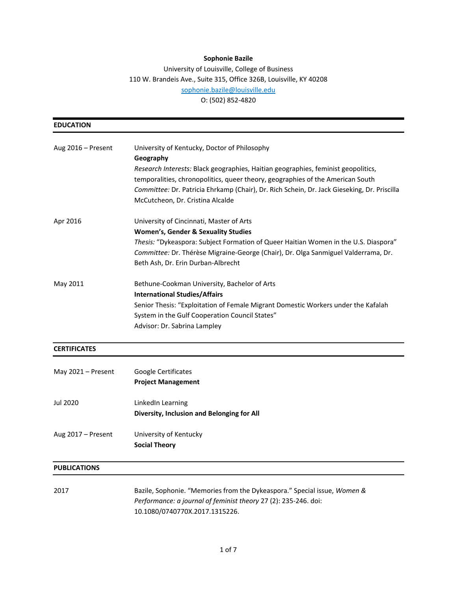# **Sophonie Bazile**

University of Louisville, College of Business 110 W. Brandeis Ave., Suite 315, Office 326B, Louisville, KY 40208 [sophonie.bazile@louisville.edu](mailto:sophonie.bazile@louisville.edu) O: (502) 852-4820

| <b>EDUCATION</b>    |                                                                                                                                                                                                                                                                                                                                                                     |
|---------------------|---------------------------------------------------------------------------------------------------------------------------------------------------------------------------------------------------------------------------------------------------------------------------------------------------------------------------------------------------------------------|
| Aug 2016 - Present  | University of Kentucky, Doctor of Philosophy<br>Geography<br>Research Interests: Black geographies, Haitian geographies, feminist geopolitics,<br>temporalities, chronopolitics, queer theory, geographies of the American South<br>Committee: Dr. Patricia Ehrkamp (Chair), Dr. Rich Schein, Dr. Jack Gieseking, Dr. Priscilla<br>McCutcheon, Dr. Cristina Alcalde |
| Apr 2016            | University of Cincinnati, Master of Arts<br><b>Women's, Gender &amp; Sexuality Studies</b><br>Thesis: "Dykeaspora: Subject Formation of Queer Haitian Women in the U.S. Diaspora"<br>Committee: Dr. Thérèse Migraine-George (Chair), Dr. Olga Sanmiguel Valderrama, Dr.<br>Beth Ash, Dr. Erin Durban-Albrecht                                                       |
| May 2011            | Bethune-Cookman University, Bachelor of Arts<br><b>International Studies/Affairs</b><br>Senior Thesis: "Exploitation of Female Migrant Domestic Workers under the Kafalah<br>System in the Gulf Cooperation Council States"<br>Advisor: Dr. Sabrina Lampley                                                                                                         |
| <b>CERTIFICATES</b> |                                                                                                                                                                                                                                                                                                                                                                     |
| May 2021 - Present  | Google Certificates<br><b>Project Management</b>                                                                                                                                                                                                                                                                                                                    |
| Jul 2020            | LinkedIn Learning<br>Diversity, Inclusion and Belonging for All                                                                                                                                                                                                                                                                                                     |
| Aug 2017 - Present  | University of Kentucky<br><b>Social Theory</b>                                                                                                                                                                                                                                                                                                                      |
| <b>PUBLICATIONS</b> |                                                                                                                                                                                                                                                                                                                                                                     |
| 2017                | Bazile, Sophonie. "Memories from the Dykeaspora." Special issue, Women &<br>Performance: a journal of feminist theory 27 (2): 235-246. doi:                                                                                                                                                                                                                         |

10.1080/0740770X.2017.1315226.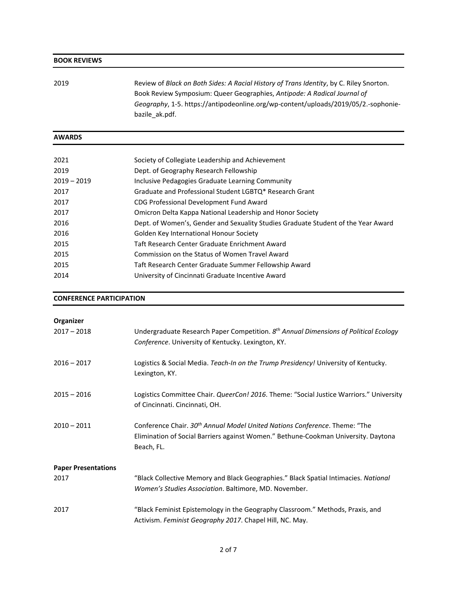### **BOOK REVIEWS**

| 2019 | Review of Black on Both Sides: A Racial History of Trans Identity, by C. Riley Snorton. |
|------|-----------------------------------------------------------------------------------------|
|      | Book Review Symposium: Queer Geographies, Antipode: A Radical Journal of                |
|      | Geography, 1-5. https://antipodeonline.org/wp-content/uploads/2019/05/2.-sophonie-      |
|      | bazile ak.pdf.                                                                          |

## **AWARDS**

| 2021          | Society of Collegiate Leadership and Achievement                                  |
|---------------|-----------------------------------------------------------------------------------|
| 2019          | Dept. of Geography Research Fellowship                                            |
| $2019 - 2019$ | Inclusive Pedagogies Graduate Learning Community                                  |
| 2017          | Graduate and Professional Student LGBTQ* Research Grant                           |
| 2017          | CDG Professional Development Fund Award                                           |
| 2017          | Omicron Delta Kappa National Leadership and Honor Society                         |
| 2016          | Dept. of Women's, Gender and Sexuality Studies Graduate Student of the Year Award |
| 2016          | Golden Key International Honour Society                                           |
| 2015          | Taft Research Center Graduate Enrichment Award                                    |
| 2015          | Commission on the Status of Women Travel Award                                    |
| 2015          | Taft Research Center Graduate Summer Fellowship Award                             |
| 2014          | University of Cincinnati Graduate Incentive Award                                 |
|               |                                                                                   |

### **CONFERENCE PARTICIPATION**

| Organizer                  |                                                                                                                                                                                            |
|----------------------------|--------------------------------------------------------------------------------------------------------------------------------------------------------------------------------------------|
| $2017 - 2018$              | Undergraduate Research Paper Competition. 8th Annual Dimensions of Political Ecology<br>Conference. University of Kentucky. Lexington, KY.                                                 |
| $2016 - 2017$              | Logistics & Social Media. Teach-In on the Trump Presidency! University of Kentucky.<br>Lexington, KY.                                                                                      |
| $2015 - 2016$              | Logistics Committee Chair. QueerCon! 2016. Theme: "Social Justice Warriors." University<br>of Cincinnati. Cincinnati, OH.                                                                  |
| $2010 - 2011$              | Conference Chair. 30 <sup>th</sup> Annual Model United Nations Conference. Theme: "The<br>Elimination of Social Barriers against Women." Bethune-Cookman University. Daytona<br>Beach, FL. |
| <b>Paper Presentations</b> |                                                                                                                                                                                            |
| 2017                       | "Black Collective Memory and Black Geographies." Black Spatial Intimacies. National<br>Women's Studies Association. Baltimore, MD. November.                                               |
| 2017                       | "Black Feminist Epistemology in the Geography Classroom." Methods, Praxis, and<br>Activism. Feminist Geography 2017. Chapel Hill, NC. May.                                                 |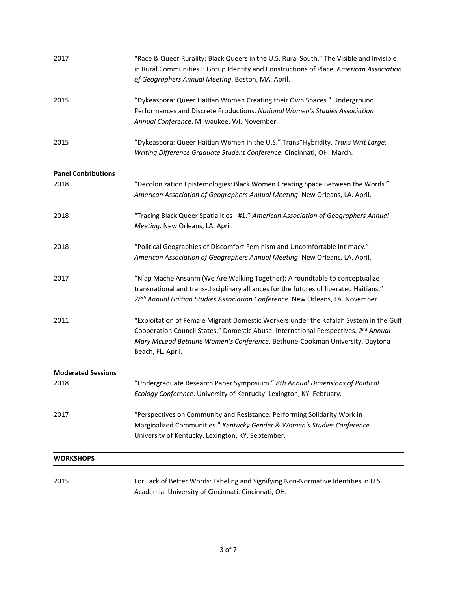| 2017                       | "Race & Queer Rurality: Black Queers in the U.S. Rural South." The Visible and Invisible<br>in Rural Communities I: Group Identity and Constructions of Place. American Association<br>of Geographers Annual Meeting. Boston, MA. April.                                                     |
|----------------------------|----------------------------------------------------------------------------------------------------------------------------------------------------------------------------------------------------------------------------------------------------------------------------------------------|
| 2015                       | "Dykeaspora: Queer Haitian Women Creating their Own Spaces." Underground<br>Performances and Discrete Productions. National Women's Studies Association<br>Annual Conference. Milwaukee, WI. November.                                                                                       |
| 2015                       | "Dykeaspora: Queer Haitian Women in the U.S." Trans*Hybridity. Trans Writ Large:<br>Writing Difference Graduate Student Conference. Cincinnati, OH. March.                                                                                                                                   |
| <b>Panel Contributions</b> |                                                                                                                                                                                                                                                                                              |
| 2018                       | "Decolonization Epistemologies: Black Women Creating Space Between the Words."<br>American Association of Geographers Annual Meeting. New Orleans, LA. April.                                                                                                                                |
| 2018                       | "Tracing Black Queer Spatialities - #1." American Association of Geographers Annual<br>Meeting. New Orleans, LA. April.                                                                                                                                                                      |
| 2018                       | "Political Geographies of Discomfort Feminism and Uncomfortable Intimacy."<br>American Association of Geographers Annual Meeting. New Orleans, LA. April.                                                                                                                                    |
| 2017                       | "N'ap Mache Ansanm (We Are Walking Together): A roundtable to conceptualize<br>transnational and trans-disciplinary alliances for the futures of liberated Haitians."<br>28 <sup>th</sup> Annual Haitian Studies Association Conference. New Orleans, LA. November.                          |
| 2011                       | "Exploitation of Female Migrant Domestic Workers under the Kafalah System in the Gulf<br>Cooperation Council States." Domestic Abuse: International Perspectives. 2 <sup>nd</sup> Annual<br>Mary McLeod Bethune Women's Conference. Bethune-Cookman University. Daytona<br>Beach, FL. April. |
| <b>Moderated Sessions</b>  |                                                                                                                                                                                                                                                                                              |
| 2018                       | "Undergraduate Research Paper Symposium." 8th Annual Dimensions of Political<br>Ecology Conference. University of Kentucky. Lexington, KY. February.                                                                                                                                         |
| 2017                       | "Perspectives on Community and Resistance: Performing Solidarity Work in<br>Marginalized Communities." Kentucky Gender & Women's Studies Conference.<br>University of Kentucky. Lexington, KY. September.                                                                                    |
| <b>WORKSHOPS</b>           |                                                                                                                                                                                                                                                                                              |
| 2015                       | For Lack of Better Words: Labeling and Signifying Non-Normative Identities in U.S.<br>Academia. University of Cincinnati. Cincinnati, OH.                                                                                                                                                    |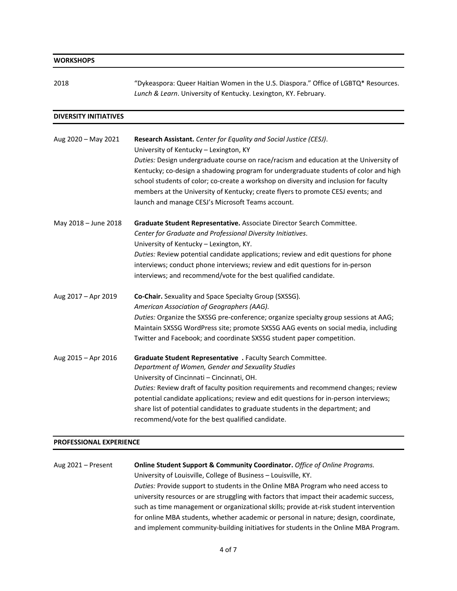| <b>WORKSHOPS</b>             |                                                                                                                                                                                                                                                                                                                                                                                                                                                                                                                                 |
|------------------------------|---------------------------------------------------------------------------------------------------------------------------------------------------------------------------------------------------------------------------------------------------------------------------------------------------------------------------------------------------------------------------------------------------------------------------------------------------------------------------------------------------------------------------------|
| 2018                         | "Dykeaspora: Queer Haitian Women in the U.S. Diaspora." Office of LGBTQ* Resources.<br>Lunch & Learn. University of Kentucky. Lexington, KY. February.                                                                                                                                                                                                                                                                                                                                                                          |
| <b>DIVERSITY INITIATIVES</b> |                                                                                                                                                                                                                                                                                                                                                                                                                                                                                                                                 |
| Aug 2020 - May 2021          | Research Assistant. Center for Equality and Social Justice (CESJ).<br>University of Kentucky - Lexington, KY<br>Duties: Design undergraduate course on race/racism and education at the University of<br>Kentucky; co-design a shadowing program for undergraduate students of color and high<br>school students of color; co-create a workshop on diversity and inclusion for faculty<br>members at the University of Kentucky; create flyers to promote CESJ events; and<br>launch and manage CESJ's Microsoft Teams account. |
| May 2018 - June 2018         | Graduate Student Representative. Associate Director Search Committee.<br>Center for Graduate and Professional Diversity Initiatives.<br>University of Kentucky - Lexington, KY.<br>Duties: Review potential candidate applications; review and edit questions for phone<br>interviews; conduct phone interviews; review and edit questions for in-person<br>interviews; and recommend/vote for the best qualified candidate.                                                                                                    |
| Aug 2017 - Apr 2019          | Co-Chair. Sexuality and Space Specialty Group (SXSSG).<br>American Association of Geographers (AAG).<br>Duties: Organize the SXSSG pre-conference; organize specialty group sessions at AAG;<br>Maintain SXSSG WordPress site; promote SXSSG AAG events on social media, including<br>Twitter and Facebook; and coordinate SXSSG student paper competition.                                                                                                                                                                     |
| Aug 2015 - Apr 2016          | Graduate Student Representative . Faculty Search Committee.<br>Department of Women, Gender and Sexuality Studies<br>University of Cincinnati - Cincinnati, OH.<br>Duties: Review draft of faculty position requirements and recommend changes; review<br>potential candidate applications; review and edit questions for in-person interviews;<br>share list of potential candidates to graduate students in the department; and<br>recommend/vote for the best qualified candidate.                                            |

### **PROFESSIONAL EXPERIENCE**

Aug 2021 – Present **Online Student Support & Community Coordinator.** *Office of Online Programs.* University of Louisville, College of Business – Louisville, KY. *Duties:* Provide support to students in the Online MBA Program who need access to university resources or are struggling with factors that impact their academic success, such as time management or organizational skills; provide at-risk student intervention for online MBA students, whether academic or personal in nature; design, coordinate, and implement community-building initiatives for students in the Online MBA Program.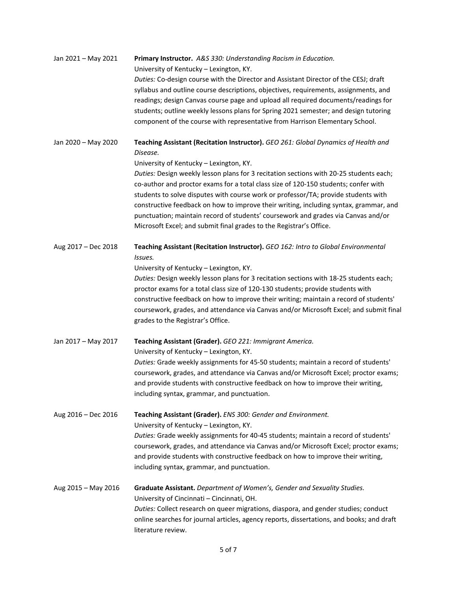| Jan 2021 - May 2021 | Primary Instructor. A&S 330: Understanding Racism in Education.                                |
|---------------------|------------------------------------------------------------------------------------------------|
|                     | University of Kentucky - Lexington, KY.                                                        |
|                     | Duties: Co-design course with the Director and Assistant Director of the CESJ; draft           |
|                     | syllabus and outline course descriptions, objectives, requirements, assignments, and           |
|                     | readings; design Canvas course page and upload all required documents/readings for             |
|                     | students; outline weekly lessons plans for Spring 2021 semester; and design tutoring           |
|                     |                                                                                                |
|                     | component of the course with representative from Harrison Elementary School.                   |
| Jan 2020 - May 2020 | Teaching Assistant (Recitation Instructor). GEO 261: Global Dynamics of Health and<br>Disease. |
|                     |                                                                                                |
|                     | University of Kentucky - Lexington, KY.                                                        |
|                     | Duties: Design weekly lesson plans for 3 recitation sections with 20-25 students each;         |
|                     | co-author and proctor exams for a total class size of 120-150 students; confer with            |
|                     | students to solve disputes with course work or professor/TA; provide students with             |
|                     | constructive feedback on how to improve their writing, including syntax, grammar, and          |
|                     | punctuation; maintain record of students' coursework and grades via Canvas and/or              |
|                     | Microsoft Excel; and submit final grades to the Registrar's Office.                            |
| Aug 2017 - Dec 2018 | Teaching Assistant (Recitation Instructor). GEO 162: Intro to Global Environmental             |
|                     | Issues.                                                                                        |
|                     |                                                                                                |
|                     | University of Kentucky - Lexington, KY.                                                        |
|                     | Duties: Design weekly lesson plans for 3 recitation sections with 18-25 students each;         |
|                     | proctor exams for a total class size of 120-130 students; provide students with                |
|                     | constructive feedback on how to improve their writing; maintain a record of students'          |
|                     | coursework, grades, and attendance via Canvas and/or Microsoft Excel; and submit final         |
|                     | grades to the Registrar's Office.                                                              |
| Jan 2017 - May 2017 | Teaching Assistant (Grader). GEO 221: Immigrant America.                                       |
|                     | University of Kentucky - Lexington, KY.                                                        |
|                     |                                                                                                |
|                     | Duties: Grade weekly assignments for 45-50 students; maintain a record of students'            |
|                     | coursework, grades, and attendance via Canvas and/or Microsoft Excel; proctor exams;           |
|                     | and provide students with constructive feedback on how to improve their writing,               |
|                     | including syntax, grammar, and punctuation.                                                    |
| Aug 2016 - Dec 2016 | Teaching Assistant (Grader). ENS 300: Gender and Environment.                                  |
|                     | University of Kentucky - Lexington, KY.                                                        |
|                     |                                                                                                |
|                     | Duties: Grade weekly assignments for 40-45 students; maintain a record of students'            |
|                     | coursework, grades, and attendance via Canvas and/or Microsoft Excel; proctor exams;           |
|                     | and provide students with constructive feedback on how to improve their writing,               |
|                     | including syntax, grammar, and punctuation.                                                    |
| Aug 2015 - May 2016 | Graduate Assistant. Department of Women's, Gender and Sexuality Studies.                       |
|                     | University of Cincinnati - Cincinnati, OH.                                                     |
|                     | Duties: Collect research on queer migrations, diaspora, and gender studies; conduct            |
|                     | online searches for journal articles, agency reports, dissertations, and books; and draft      |
|                     | literature review.                                                                             |
|                     |                                                                                                |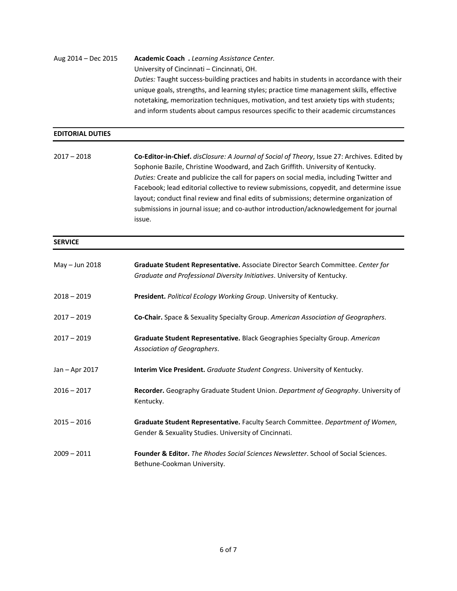Aug 2014 – Dec 2015 **Academic Coach .** *Learning Assistance Center.* University of Cincinnati – Cincinnati, OH. *Duties:* Taught success-building practices and habits in students in accordance with their unique goals, strengths, and learning styles; practice time management skills, effective notetaking, memorization techniques, motivation, and test anxiety tips with students; and inform students about campus resources specific to their academic circumstances

#### **EDITORIAL DUTIES**

2017 – 2018 **Co-Editor-in-Chief.** *disClosure: A Journal of Social of Theory*, Issue 27: Archives. Edited by Sophonie Bazile, Christine Woodward, and Zach Griffith. University of Kentucky. *Duties:* Create and publicize the call for papers on social media, including Twitter and Facebook; lead editorial collective to review submissions, copyedit, and determine issue layout; conduct final review and final edits of submissions; determine organization of submissions in journal issue; and co-author introduction/acknowledgement for journal issue.

#### **SERVICE**

| May - Jun 2018 | Graduate Student Representative. Associate Director Search Committee. Center for<br>Graduate and Professional Diversity Initiatives. University of Kentucky. |
|----------------|--------------------------------------------------------------------------------------------------------------------------------------------------------------|
| $2018 - 2019$  | President. Political Ecology Working Group. University of Kentucky.                                                                                          |
| $2017 - 2019$  | <b>Co-Chair.</b> Space & Sexuality Specialty Group. American Association of Geographers.                                                                     |
| $2017 - 2019$  | Graduate Student Representative. Black Geographies Specialty Group. American<br>Association of Geographers.                                                  |
| Jan – Apr 2017 | <b>Interim Vice President.</b> Graduate Student Congress. University of Kentucky.                                                                            |
| $2016 - 2017$  | Recorder. Geography Graduate Student Union. Department of Geography. University of<br>Kentucky.                                                              |
| $2015 - 2016$  | Graduate Student Representative. Faculty Search Committee. Department of Women,<br>Gender & Sexuality Studies. University of Cincinnati.                     |
| $2009 - 2011$  | <b>Founder &amp; Editor.</b> The Rhodes Social Sciences Newsletter. School of Social Sciences.<br>Bethune-Cookman University.                                |